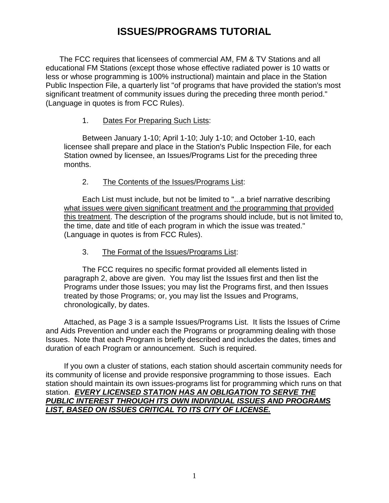# **ISSUES/PROGRAMS TUTORIAL**

The FCC requires that licensees of commercial AM, FM & TV Stations and all educational FM Stations (except those whose effective radiated power is 10 watts or less or whose programming is 100% instructional) maintain and place in the Station Public Inspection File, a quarterly list "of programs that have provided the station's most significant treatment of community issues during the preceding three month period." (Language in quotes is from FCC Rules).

#### 1. Dates For Preparing Such Lists:

Between January 1-10; April 1-10; July 1-10; and October 1-10, each licensee shall prepare and place in the Station's Public Inspection File, for each Station owned by licensee, an Issues/Programs List for the preceding three months.

### 2. The Contents of the Issues/Programs List:

Each List must include, but not be limited to "...a brief narrative describing what issues were given significant treatment and the programming that provided this treatment. The description of the programs should include, but is not limited to, the time, date and title of each program in which the issue was treated." (Language in quotes is from FCC Rules).

#### 3. The Format of the Issues/Programs List:

The FCC requires no specific format provided all elements listed in paragraph 2, above are given. You may list the Issues first and then list the Programs under those Issues; you may list the Programs first, and then Issues treated by those Programs; or, you may list the Issues and Programs, chronologically, by dates.

Attached, as Page 3 is a sample Issues/Programs List. It lists the Issues of Crime and Aids Prevention and under each the Programs or programming dealing with those Issues. Note that each Program is briefly described and includes the dates, times and duration of each Program or announcement. Such is required.

If you own a cluster of stations, each station should ascertain community needs for its community of license and provide responsive programming to those issues. Each station should maintain its own issues-programs list for programming which runs on that station. *EVERY LICENSED STATION HAS AN OBLIGATION TO SERVE THE PUBLIC INTEREST THROUGH ITS OWN INDIVIDUAL ISSUES AND PROGRAMS LIST, BASED ON ISSUES CRITICAL TO ITS CITY OF LICENSE.*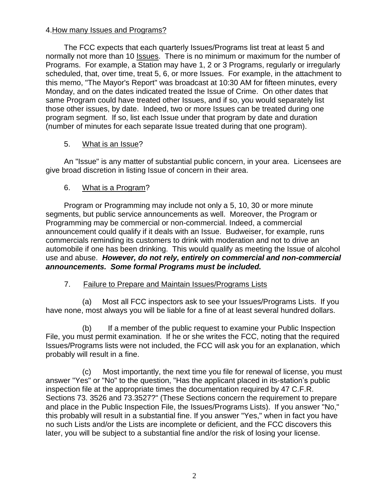### 4.How many Issues and Programs?

The FCC expects that each quarterly Issues/Programs list treat at least 5 and normally not more than 10 Issues. There is no minimum or maximum for the number of Programs. For example, a Station may have 1, 2 or 3 Programs, regularly or irregularly scheduled, that, over time, treat 5, 6, or more Issues. For example, in the attachment to this memo, "The Mayor's Report" was broadcast at 10:30 AM for fifteen minutes, every Monday, and on the dates indicated treated the Issue of Crime. On other dates that same Program could have treated other Issues, and if so, you would separately list those other issues, by date. Indeed, two or more Issues can be treated during one program segment. If so, list each Issue under that program by date and duration (number of minutes for each separate Issue treated during that one program).

### 5. What is an Issue?

An "Issue" is any matter of substantial public concern, in your area. Licensees are give broad discretion in listing Issue of concern in their area.

# 6. What is a Program?

Program or Programming may include not only a 5, 10, 30 or more minute segments, but public service announcements as well. Moreover, the Program or Programming may be commercial or non-commercial. Indeed, a commercial announcement could qualify if it deals with an Issue. Budweiser, for example, runs commercials reminding its customers to drink with moderation and not to drive an automobile if one has been drinking. This would qualify as meeting the Issue of alcohol use and abuse. *However, do not rely, entirely on commercial and non-commercial announcements. Some formal Programs must be included.*

# 7. Failure to Prepare and Maintain Issues/Programs Lists

(a) Most all FCC inspectors ask to see your Issues/Programs Lists. If you have none, most always you will be liable for a fine of at least several hundred dollars.

(b) If a member of the public request to examine your Public Inspection File, you must permit examination. If he or she writes the FCC, noting that the required Issues/Programs lists were not included, the FCC will ask you for an explanation, which probably will result in a fine.

(c) Most importantly, the next time you file for renewal of license, you must answer "Yes" or "No" to the question, "Has the applicant placed in its-station's public inspection file at the appropriate times the documentation required by 47 C.F.R. Sections 73. 3526 and 73.3527?" (These Sections concern the requirement to prepare and place in the Public Inspection File, the Issues/Programs Lists). If you answer "No," this probably will result in a substantial fine. If you answer "Yes," when in fact you have no such Lists and/or the Lists are incomplete or deficient, and the FCC discovers this later, you will be subject to a substantial fine and/or the risk of losing your license.